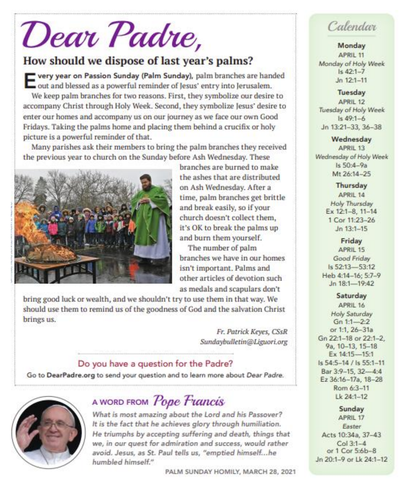# Dear Padre,

## How should we dispose of last year's palms?

very year on Passion Sunday (Palm Sunday), palm branches are handed out and blessed as a powerful reminder of lesus' entry into Jerusalem. We keep palm branches for two reasons. First, they symbolize our desire to accompany Christ through Holy Week. Second, they symbolize Jesus' desire to enter our homes and accompany us on our journey as we face our own Good Fridays. Taking the palms home and placing them behind a crucifix or holy picture is a powerful reminder of that.

Many parishes ask their members to bring the palm branches they received the previous year to church on the Sunday before Ash Wednesday. These



branches are burned to make the ashes that are distributed on Ash Wednesday. After a time, palm branches get brittle and break easily, so if your church doesn't collect them. it's OK to break the palms up and burn them yourself.

The number of palm branches we have in our homes isn't important. Palms and other articles of devotion such as medals and scapulars don't

bring good luck or wealth, and we shouldn't try to use them in that way. We should use them to remind us of the goodness of God and the salvation Christ brings us.

> Fr. Patrick Keyes, CSsR Sundaybulletin@Liguori.org

#### Do you have a question for the Padre?

Go to DearPadre.org to send your question and to learn more about Dear Padre.



# A WORD FROM Pope Francis

What is most amazing about the Lord and his Passover? It is the fact that he achieves glory through humiliation. He triumphs by accepting suffering and death, things that we, in our quest for admiration and success, would rather avoid. Jesus, as St. Paul tells us, "emptied himself...he humbled himself."

PALM SUNDAY HOMILY, MARCH 28, 2021

# Calendar

#### Monday APRIL 11 Monday of Holy Week  $1s.42 - 1 - 7$  $Jn$  12:1-11

Tuesday APRIL 12 Tuesday of Holy Week  $Is 49:1-6$ Jn 13:21-33, 36-38

Wednesday APRIL 13 Wednesday of Holy Week  $Is 50:4-9a$ Mt 26:14-25

> Thursday APRIL 14 Holy Thursday Ex 12:1-8, 11-14 1 Cor 11:23-26  $Jn$  13:1-15

Friday APRIL 15 Good Friday Is 52:13-53:12 Heb 4:14-16: 5:7-9 Jn 18:1-19:42

#### Saturday

APRIL 16 Holy Saturday  $Gn 1:1 - 2:2$ or 1:1, 26-31a Gn 22:1-18 or 22:1-2. 9a, 10-13, 15-18 Ex 14:15-15:1 Is 54:5-14 / Is 55:1-11 Bar 3:9-15, 32-4:4 Ez 36:16-17a, 18-28 Rom 6:3-11 Lk 24:1-12

Sunday APRIL 17 Easter Acts 10:34a, 37-43  $Col 3:1-4$ or 1 Cor 5:6b-8 Jn 20:1-9 or Lk 24:1-12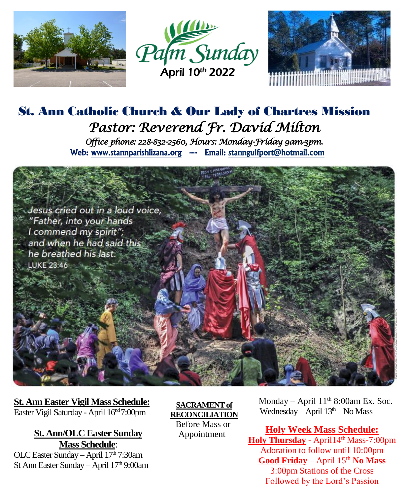





## St. Ann Catholic Church & Our Lady of Chartres Mission *Pastor: Reverend Fr. David Milton Office phone: 228-832-2560, Hours: Monday-Friday 9am-3pm.*  Web: www.stannparishlizana.org --- Email: stanngulfport@hotmail.com



**St. Ann Easter Vigil Mass Schedule:** Easter Vigil Saturday - April 16<sup>nd</sup> 7:00pm

> **St. Ann/OLC Easter Sunday Mass Schedule**:

OLC Easter Sunday – April 17<sup>th</sup> 7:30am St Ann Easter Sunday – April 17th 9:00am

 **SACRAMENT of RECONCILIATION** Before Mass or Appointment

Monday – April  $11<sup>th</sup> 8:00am Ex. Soc.$ Wednesday – April  $13<sup>th</sup>$  – No Mass

**Holy Week Mass Schedule:** Holy Thursday - April14<sup>th</sup> Mass-7:00pm Adoration to follow until 10:00pm Good Friday – April 15<sup>th</sup> **No Mass** 3:00pm Stations of the Cross Followed by the Lord's Passion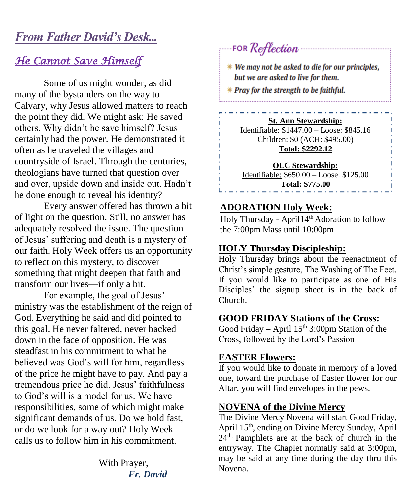## *From Father David's Desk...*

## *He Cannot Save Himself*

Some of us might wonder, as did many of the bystanders on the way to Calvary, why Jesus allowed matters to reach the point they did. We might ask: He saved others. Why didn't he save himself? Jesus certainly had the power. He demonstrated it often as he traveled the villages and countryside of Israel. Through the centuries, theologians have turned that question over and over, upside down and inside out. Hadn't he done enough to reveal his identity?

Every answer offered has thrown a bit of light on the question. Still, no answer has adequately resolved the issue. The question of Jesus' suffering and death is a mystery of our faith. Holy Week offers us an opportunity to reflect on this mystery, to discover something that might deepen that faith and transform our lives—if only a bit.

For example, the goal of Jesus' ministry was the establishment of the reign of God. Everything he said and did pointed to this goal. He never faltered, never backed down in the face of opposition. He was steadfast in his commitment to what he believed was God's will for him, regardless of the price he might have to pay. And pay a tremendous price he did. Jesus' faithfulness to God's will is a model for us. We have responsibilities, some of which might make significant demands of us. Do we hold fast, or do we look for a way out? Holy Week calls us to follow him in his commitment.

> With Prayer,  *Fr. David*

# FOR Reflection

\* We may not be asked to die for our principles, but we are asked to live for them.

\* Pray for the strength to be faithful.

#### **St. Ann Stewardship:**

Identifiable: \$1447.00 – Loose: \$845.16 Children: \$0 (ACH: \$495.00) **Total: \$2292.12**

**OLC Stewardship:** Identifiable: \$650.00 – Loose: \$125.00 **Total: \$775.00**

#### **ADORATION Holy Week:**

Holy Thursday - April14th Adoration to follow the 7:00pm Mass until 10:00pm

#### **HOLY Thursday Discipleship:**

Holy Thursday brings about the reenactment of Christ's simple gesture, The Washing of The Feet. If you would like to participate as one of His Disciples' the signup sheet is in the back of Church.

#### **GOOD FRIDAY Stations of the Cross:**

Good Friday – April  $15<sup>th</sup>$  3:00pm Station of the Cross, followed by the Lord's Passion

#### **EASTER Flowers:**

If you would like to donate in memory of a loved one, toward the purchase of Easter flower for our Altar, you will find envelopes in the pews.

#### **NOVENA of the Divine Mercy**

The Divine Mercy Novena will start Good Friday, April 15th, ending on Divine Mercy Sunday, April  $24<sup>th</sup>$  Pamphlets are at the back of church in the entryway. The Chaplet normally said at 3:00pm, may be said at any time during the day thru this Novena.